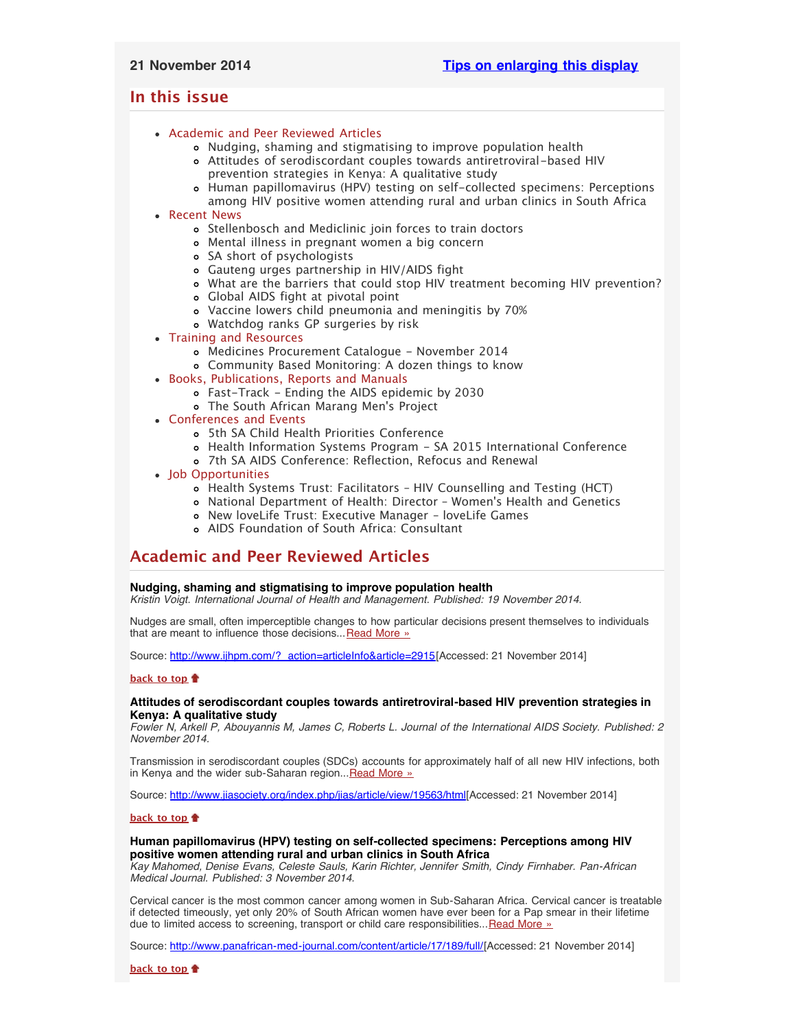# <span id="page-0-4"></span>**In this issue**

- [Academic and Peer Reviewed Articles](#page-0-0)
	- [Nudging, shaming and stigmatising to improve population health](#page-0-1)
	- [Attitudes of serodiscordant couples towards antiretroviral-based HIV](#page-0-2) [prevention strategies in Kenya: A qualitative study](#page-0-2)
	- [Human papillomavirus \(HPV\) testing on self-collected specimens: Perceptions](#page-0-3) [among HIV positive women attending rural and urban clinics in South Africa](#page-0-3)
- [Recent News](#page-1-0)
	- [Stellenbosch and Mediclinic join forces to train doctors](#page-1-1)
	- [Mental illness in pregnant women a big concern](#page-1-2)
	- [SA short of psychologists](#page-1-3)
	- [Gauteng urges partnership in HIV/AIDS fight](#page-1-4)
	- [What are the barriers that could stop HIV treatment becoming HIV prevention?](#page-1-5)
	- [Global AIDS fight at pivotal point](#page-1-6)
		- [Vaccine lowers child pneumonia and meningitis by 70%](#page-1-7)
		- [Watchdog ranks GP surgeries by risk](#page-2-0)
- [Training and Resources](#page-2-1)
	- [Medicines Procurement Catalogue November 2014](#page-2-2)
	- [Community Based Monitoring: A dozen things to know](#page-2-3)
- [Books, Publications, Reports and Manuals](#page-2-4)
	- [Fast-Track Ending the AIDS epidemic by 2030](#page-2-5)
	- [The South African Marang Men](#page-2-6)'s Project
- [Conferences and Events](#page-2-7)
	- [5th SA Child Health Priorities Conference](#page-2-8)
	- [Health Information Systems Program SA 2015 International Conference](#page-2-9)
	- [7th SA AIDS Conference: Reflection, Refocus and Renewal](#page-2-10)
- [Job Opportunities](#page-3-0)
	- [Health Systems Trust: Facilitators HIV Counselling and Testing \(HCT\)](#page-3-1)
	- [National Department of Health: Director Women](#page-3-2)'s Health and Genetics
	- [New loveLife Trust: Executive Manager loveLife Games](#page-3-3)
	- [AIDS Foundation of South Africa: Consultant](#page-3-4)

# <span id="page-0-0"></span>**Academic and Peer Reviewed Articles**

## <span id="page-0-1"></span>**Nudging, shaming and stigmatising to improve population health**

*Kristin Voigt. International Journal of Health and Management. Published: 19 November 2014.*

Nudges are small, often imperceptible changes to how particular decisions present themselves to individuals that are meant to influence those decisions... [Read More »](http://www.ijhpm.com/?_action=articleInfo&article=2915)

Source: [http://www.ijhpm.com/?\\_action=articleInfo&article=2915\[](http://www.ijhpm.com/?_action=articleInfo&article=2915)Accessed: 21 November 2014]

## **[back to top](#page-0-4)**

### <span id="page-0-2"></span>**Attitudes of serodiscordant couples towards antiretroviral-based HIV prevention strategies in Kenya: A qualitative study**

*Fowler N, Arkell P, Abouyannis M, James C, Roberts L. Journal of the International AIDS Society. Published: 2 November 2014.*

Transmission in serodiscordant couples (SDCs) accounts for approximately half of all new HIV infections, both in Kenya and the wider sub-Saharan region... [Read More »](http://www.jiasociety.org/index.php/jias/article/view/19563/html)

Source: [http://www.jiasociety.org/index.php/jias/article/view/19563/html\[](http://www.jiasociety.org/index.php/jias/article/view/19563/html)Accessed: 21 November 2014]

#### **[back to top](#page-0-4)**

### <span id="page-0-3"></span>**Human papillomavirus (HPV) testing on self-collected specimens: Perceptions among HIV positive women attending rural and urban clinics in South Africa**

*Kay Mahomed, Denise Evans, Celeste Sauls, Karin Richter, Jennifer Smith, Cindy Firnhaber. Pan-African Medical Journal. Published: 3 November 2014.*

Cervical cancer is the most common cancer among women in Sub-Saharan Africa. Cervical cancer is treatable if detected timeously, yet only 20% of South African women have ever been for a Pap smear in their lifetime due to limited access to screening, transport or child care responsibilities...[Read More »](http://www.panafrican-med-journal.com/content/article/17/189/full/)

Source: [http://www.panafrican-med-journal.com/content/article/17/189/full/\[](http://www.panafrican-med-journal.com/content/article/17/189/full/)Accessed: 21 November 2014]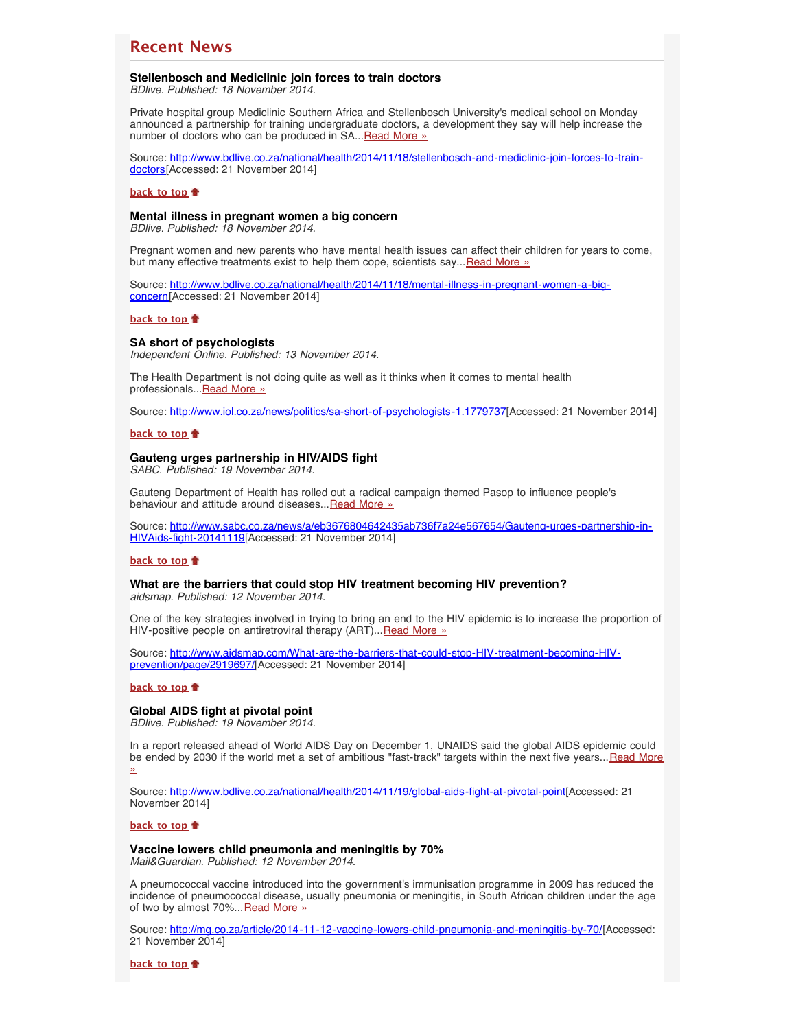# <span id="page-1-0"></span>**Recent News**

### <span id="page-1-1"></span>**Stellenbosch and Mediclinic join forces to train doctors**

*BDlive. Published: 18 November 2014.*

Private hospital group Mediclinic Southern Africa and Stellenbosch University's medical school on Monday announced a partnership for training undergraduate doctors, a development they say will help increase the number of doctors who can be produced in SA... [Read More »](http://www.hst.org.za/news/stellenbosch-and-mediclinic-join-forces-train-doctors)

Source: [http://www.bdlive.co.za/national/health/2014/11/18/stellenbosch-and-mediclinic-join-forces-to-train](http://www.bdlive.co.za/national/health/2014/11/18/stellenbosch-and-mediclinic-join-forces-to-train-doctors)[doctors\[](http://www.bdlive.co.za/national/health/2014/11/18/stellenbosch-and-mediclinic-join-forces-to-train-doctors)Accessed: 21 November 2014]

#### **[back to top](#page-0-4)**

## <span id="page-1-2"></span>**Mental illness in pregnant women a big concern**

*BDlive. Published: 18 November 2014.*

Pregnant women and new parents who have mental health issues can affect their children for years to come, but many effective treatments exist to help them cope, scientists say... [Read More »](http://www.hst.org.za/news/mental-illness-pregnant-women-big-concern)

Source: [http://www.bdlive.co.za/national/health/2014/11/18/mental-illness-in-pregnant-women-a-big](http://www.bdlive.co.za/national/health/2014/11/18/mental-illness-in-pregnant-women-a-big-concern)[concern](http://www.bdlive.co.za/national/health/2014/11/18/mental-illness-in-pregnant-women-a-big-concern)[Accessed: 21 November 2014]

#### **[back to top](#page-0-4)**

#### <span id="page-1-3"></span>**SA short of psychologists**

*Independent Online. Published: 13 November 2014.*

The Health Department is not doing quite as well as it thinks when it comes to mental health professionals... [Read More »](http://www.hst.org.za/news/sa-short-psychologists)

Source: [http://www.iol.co.za/news/politics/sa-short-of-psychologists-1.1779737\[](http://www.iol.co.za/news/politics/sa-short-of-psychologists-1.1779737)Accessed: 21 November 2014]

#### **[back to top](#page-0-4)**

#### <span id="page-1-4"></span>**Gauteng urges partnership in HIV/AIDS fight**

*SABC. Published: 19 November 2014.*

Gauteng Department of Health has rolled out a radical campaign themed Pasop to influence people's behaviour and attitude around diseases... [Read More »](http://www.hst.org.za/news/gauteng-urges-partnership-hivaids-fight)

Source: [http://www.sabc.co.za/news/a/eb3676804642435ab736f7a24e567654/Gauteng-urges-partnership-in-](http://www.sabc.co.za/news/a/eb3676804642435ab736f7a24e567654/Gauteng-urges-partnership-in-HIVAids-fight-20141119)[HIVAids-fight-20141119\[](http://www.sabc.co.za/news/a/eb3676804642435ab736f7a24e567654/Gauteng-urges-partnership-in-HIVAids-fight-20141119)Accessed: 21 November 2014]

#### **[back to top](#page-0-4)**

### <span id="page-1-5"></span>**What are the barriers that could stop HIV treatment becoming HIV prevention?** *aidsmap. Published: 12 November 2014.*

One of the key strategies involved in trying to bring an end to the HIV epidemic is to increase the proportion of HIV-positive people on antiretroviral therapy (ART)... [Read More »](http://www.hst.org.za/news/what-are-barriers-could-stop-hiv-treatment-becoming-hiv-prevention)

Source: [http://www.aidsmap.com/What-are-the-barriers-that-could-stop-HIV-treatment-becoming-HIV](http://www.aidsmap.com/What-are-the-barriers-that-could-stop-HIV-treatment-becoming-HIV-prevention/page/2919697/)[prevention/page/2919697/](http://www.aidsmap.com/What-are-the-barriers-that-could-stop-HIV-treatment-becoming-HIV-prevention/page/2919697/)[Accessed: 21 November 2014]

#### **[back to top](#page-0-4)**

# <span id="page-1-6"></span>**Global AIDS fight at pivotal point**

*BDlive. Published: 19 November 2014.*

In a report released ahead of World AIDS Day on December 1, UNAIDS said the global AIDS epidemic could be ended by 2030 if the world met a set of ambitious "fast-track" targets within the next five years... [Read More](http://www.hst.org.za/news/global-aids-fight-pivotal-point) [»](http://www.hst.org.za/news/global-aids-fight-pivotal-point)

Source: [http://www.bdlive.co.za/national/health/2014/11/19/global-aids-fight-at-pivotal-point\[](http://www.bdlive.co.za/national/health/2014/11/19/global-aids-fight-at-pivotal-point)Accessed: 21 November 2014]

#### **[back to top](#page-0-4)**

#### <span id="page-1-7"></span>**Vaccine lowers child pneumonia and meningitis by 70%** *Mail&Guardian. Published: 12 November 2014.*

A pneumococcal vaccine introduced into the government's immunisation programme in 2009 has reduced the incidence of pneumococcal disease, usually pneumonia or meningitis, in South African children under the age of two by almost 70%... [Read More »](http://www.hst.org.za/news/vaccine-lowers-child-pneumonia-and-meningitis-70)

Source: [http://mg.co.za/article/2014-11-12-vaccine-lowers-child-pneumonia-and-meningitis-by-70/\[](http://mg.co.za/article/2014-11-12-vaccine-lowers-child-pneumonia-and-meningitis-by-70/)Accessed: 21 November 2014]

**[back to top](#page-0-4)**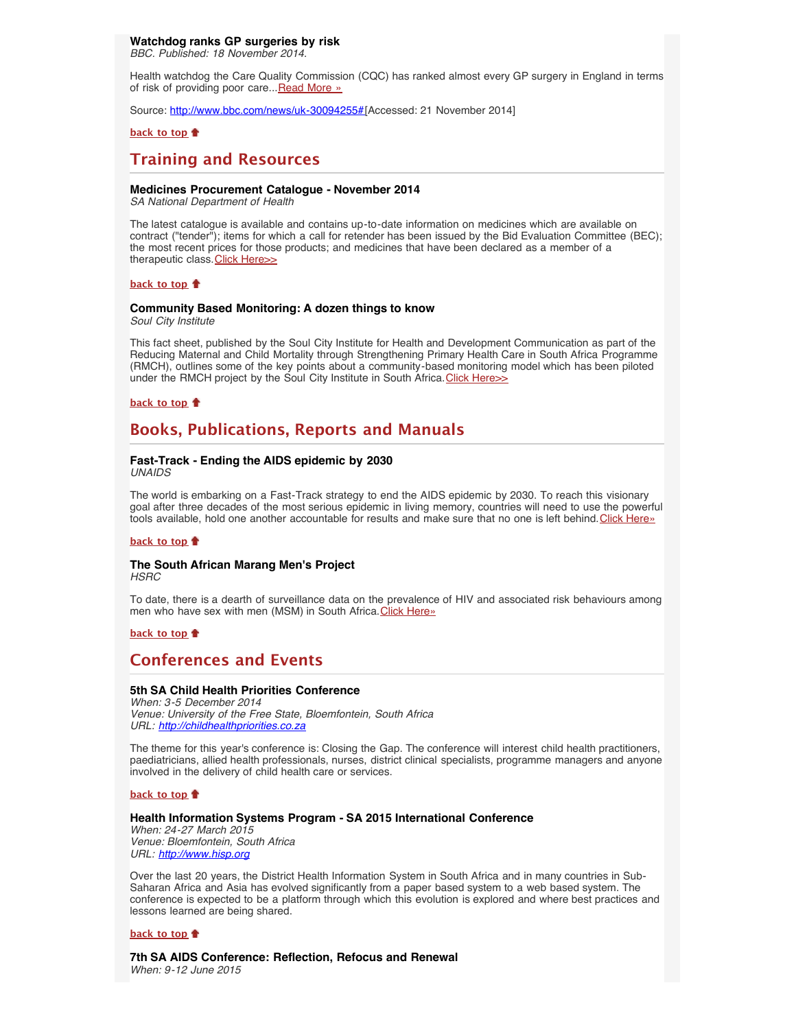## <span id="page-2-0"></span>**Watchdog ranks GP surgeries by risk**

*BBC. Published: 18 November 2014.*

Health watchdog the Care Quality Commission (CQC) has ranked almost every GP surgery in England in terms of risk of providing poor care... [Read More »](http://www.bbc.com/news/uk-30094255#)

Source: [http://www.bbc.com/news/uk-30094255#\[](http://www.bbc.com/news/uk-30094255#)Accessed: 21 November 2014]

#### **[back to top](#page-0-4)**

# <span id="page-2-1"></span>**Training and Resources**

### <span id="page-2-2"></span>**Medicines Procurement Catalogue - November 2014**

*SA National Department of Health*

The latest catalogue is available and contains up-to-date information on medicines which are available on contract ("tender"); items for which a call for retender has been issued by the Bid Evaluation Committee (BEC); the most recent prices for those products; and medicines that have been declared as a member of a therapeutic class. [Click Here>>](http://www.hst.org.za/publications/medicines-procurement-catalogue)

#### **[back to top](#page-0-4)**

# <span id="page-2-3"></span>**Community Based Monitoring: A dozen things to know**

*Soul City Institute*

This fact sheet, published by the Soul City Institute for Health and Development Communication as part of the Reducing Maternal and Child Mortality through Strengthening Primary Health Care in South Africa Programme (RMCH), outlines some of the key points about a community-based monitoring model which has been piloted under the RMCH project by the Soul City Institute in South Africa. [Click Here>>](http://www.hst.org.za/publications/community-based-monitoring-dozen-things-know)

#### **[back to top](#page-0-4)**

# <span id="page-2-4"></span>**Books, Publications, Reports and Manuals**

#### <span id="page-2-5"></span>**Fast-Track - Ending the AIDS epidemic by 2030** *UNAIDS*

The world is embarking on a Fast-Track strategy to end the AIDS epidemic by 2030. To reach this visionary goal after three decades of the most serious epidemic in living memory, countries will need to use the powerful tools available, hold one another accountable for results and make sure that no one is left behind. [Click Here»](http://www.unaids.org/en/resources/documents/2014/JC2686_WAD2014report)

#### **[back to top](#page-0-4)**

# <span id="page-2-6"></span>**The South African Marang Men's Project**

*HSRC*

To date, there is a dearth of surveillance data on the prevalence of HIV and associated risk behaviours among men who have sex with men (MSM) in South Africa. [Click Here»](http://www.hsrcpress.ac.za/product.php?productid=2328&cat=0&page=1&featured)

## **[back to top](#page-0-4)**

# <span id="page-2-7"></span>**Conferences and Events**

## <span id="page-2-8"></span>**5th SA Child Health Priorities Conference**

*When: 3-5 December 2014 Venue: University of the Free State, Bloemfontein, South Africa URL: [http://childhealthpriorities.co.za](http://childhealthpriorities.co.za/)*

The theme for this year's conference is: Closing the Gap. The conference will interest child health practitioners, paediatricians, allied health professionals, nurses, district clinical specialists, programme managers and anyone involved in the delivery of child health care or services.

**[back to top](#page-0-4)**

#### <span id="page-2-9"></span>**Health Information Systems Program - SA 2015 International Conference**

*When: 24-27 March 2015 Venue: Bloemfontein, South Africa URL: [http://www.hisp.org](http://www.hisp.org/)*

Over the last 20 years, the District Health Information System in South Africa and in many countries in Sub-Saharan Africa and Asia has evolved significantly from a paper based system to a web based system. The conference is expected to be a platform through which this evolution is explored and where best practices and lessons learned are being shared.

#### **[back to top](#page-0-4)**

<span id="page-2-10"></span>**7th SA AIDS Conference: Reflection, Refocus and Renewal** *When: 9-12 June 2015*